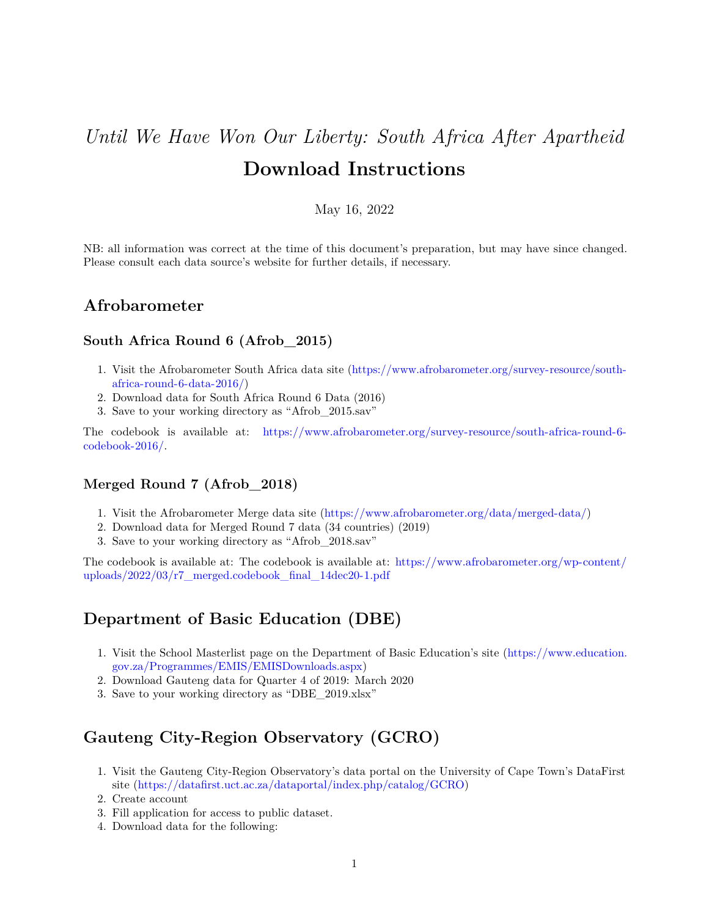# *Until We Have Won Our Liberty: South Africa After Apartheid* **Download Instructions**

#### May 16, 2022

NB: all information was correct at the time of this document's preparation, but may have since changed. Please consult each data source's website for further details, if necessary.

#### **Afrobarometer**

#### **South Africa Round 6 (Afrob\_2015)**

- 1. Visit the Afrobarometer South Africa data site [\(https://www.afrobarometer.org/survey-resource/south](https://www.afrobarometer.org/survey-resource/south-africa-round-6-data-2016/)[africa-round-6-data-2016/\)](https://www.afrobarometer.org/survey-resource/south-africa-round-6-data-2016/)
- 2. Download data for South Africa Round 6 Data (2016)
- 3. Save to your working directory as "Afrob\_2015.sav"

The codebook is available at: [https://www.afrobarometer.org/survey-resource/south-africa-round-6](https://www.afrobarometer.org/survey-resource/south-africa-round-6-codebook-2016/) [codebook-2016/.](https://www.afrobarometer.org/survey-resource/south-africa-round-6-codebook-2016/)

#### **Merged Round 7 (Afrob\_2018)**

- 1. Visit the Afrobarometer Merge data site [\(https://www.afrobarometer.org/data/merged-data/\)](https://www.afrobarometer.org/data/merged-data/)
- 2. Download data for Merged Round 7 data (34 countries) (2019)
- 3. Save to your working directory as "Afrob\_2018.sav"

The codebook is available at: The codebook is available at: [https://www.afrobarometer.org/wp-content/](https://www.afrobarometer.org/wp-content/uploads/2022/03/r7_merged.codebook_final_14dec20-1.pdf) [uploads/2022/03/r7\\_merged.codebook\\_final\\_14dec20-1.pdf](https://www.afrobarometer.org/wp-content/uploads/2022/03/r7_merged.codebook_final_14dec20-1.pdf)

#### **Department of Basic Education (DBE)**

- 1. Visit the School Masterlist page on the Department of Basic Education's site [\(https://www.education.](https://www.education.gov.za/Programmes/EMIS/EMISDownloads.aspx) [gov.za/Programmes/EMIS/EMISDownloads.aspx\)](https://www.education.gov.za/Programmes/EMIS/EMISDownloads.aspx)
- 2. Download Gauteng data for Quarter 4 of 2019: March 2020
- 3. Save to your working directory as "DBE\_2019.xlsx"

# **Gauteng City-Region Observatory (GCRO)**

- 1. Visit the Gauteng City-Region Observatory's data portal on the University of Cape Town's DataFirst site [\(https://datafirst.uct.ac.za/dataportal/index.php/catalog/GCRO\)](https://datafirst.uct.ac.za/dataportal/index.php/catalog/GCRO)
- 2. Create account
- 3. Fill application for access to public dataset.
- 4. Download data for the following: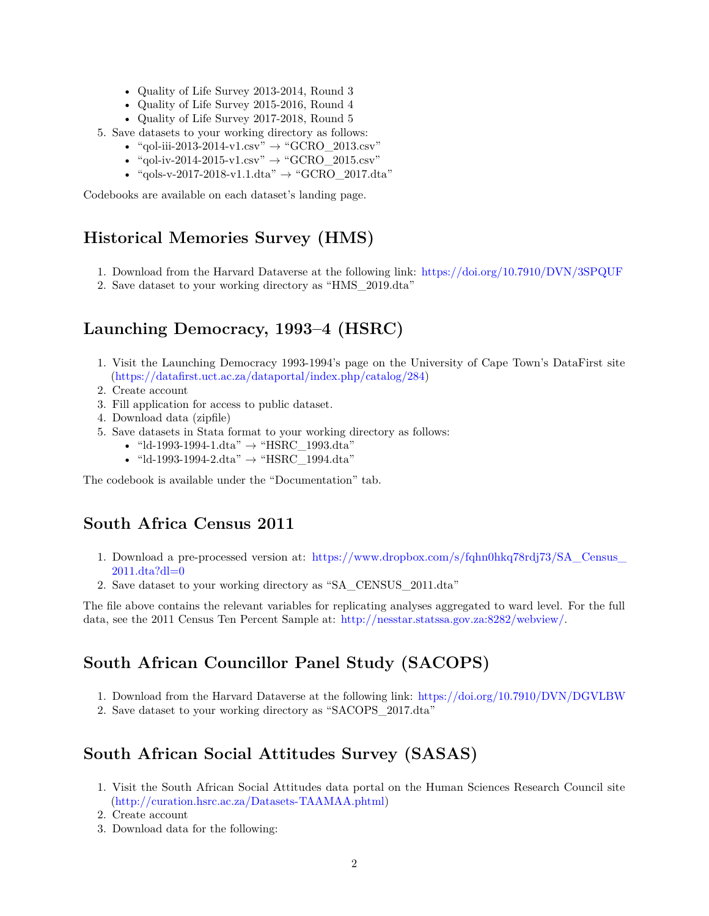- Quality of Life Survey 2013-2014, Round 3
- Quality of Life Survey 2015-2016, Round 4
- Quality of Life Survey 2017-2018, Round 5
- 5. Save datasets to your working directory as follows:
	- "qol-iii-2013-2014-v1.csv"  $\rightarrow$  "GCRO\_2013.csv"
	- "qol-iv-2014-2015-v1.csv"  $\rightarrow$  "GCRO 2015.csv"
	- "qols-v-2017-2018-v1.1.dta"  $\rightarrow$  "GCRO 2017.dta"

Codebooks are available on each dataset's landing page.

### **Historical Memories Survey (HMS)**

- 1. Download from the Harvard Dataverse at the following link: <https://doi.org/10.7910/DVN/3SPQUF>
- 2. Save dataset to your working directory as "HMS\_2019.dta"

## **Launching Democracy, 1993–4 (HSRC)**

- 1. Visit the Launching Democracy 1993-1994's page on the University of Cape Town's DataFirst site [\(https://datafirst.uct.ac.za/dataportal/index.php/catalog/284\)](https://datafirst.uct.ac.za/dataportal/index.php/catalog/284)
- 2. Create account
- 3. Fill application for access to public dataset.
- 4. Download data (zipfile)
- 5. Save datasets in Stata format to your working directory as follows:
	- "ld-1993-1994-1.dta"  $\rightarrow$  "HSRC\_1993.dta"
	- "ld-1993-1994-2.dta"  $\rightarrow$  "HSRC\_1994.dta"

The codebook is available under the "Documentation" tab.

#### **South Africa Census 2011**

- 1. Download a pre-processed version at: [https://www.dropbox.com/s/fqhn0hkq78rdj73/SA\\_Census\\_](https://www.dropbox.com/s/fqhn0hkq78rdj73/SA_Census_2011.dta?dl=0) [2011.dta?dl=0](https://www.dropbox.com/s/fqhn0hkq78rdj73/SA_Census_2011.dta?dl=0)
- 2. Save dataset to your working directory as "SA\_CENSUS\_2011.dta"

The file above contains the relevant variables for replicating analyses aggregated to ward level. For the full data, see the 2011 Census Ten Percent Sample at: [http://nesstar.statssa.gov.za:8282/webview/.](http://nesstar.statssa.gov.za:8282/webview/)

# **South African Councillor Panel Study (SACOPS)**

- 1. Download from the Harvard Dataverse at the following link: <https://doi.org/10.7910/DVN/DGVLBW>
- 2. Save dataset to your working directory as "SACOPS\_2017.dta"

# **South African Social Attitudes Survey (SASAS)**

- 1. Visit the South African Social Attitudes data portal on the Human Sciences Research Council site [\(http://curation.hsrc.ac.za/Datasets-TAAMAA.phtml\)](http://curation.hsrc.ac.za/Datasets-TAAMAA.phtml)
- 2. Create account
- 3. Download data for the following: